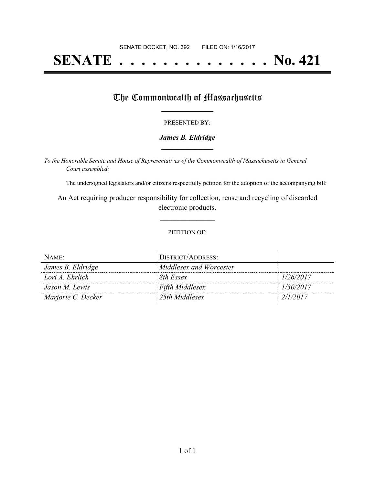# **SENATE . . . . . . . . . . . . . . No. 421**

### The Commonwealth of Massachusetts

#### PRESENTED BY:

#### *James B. Eldridge* **\_\_\_\_\_\_\_\_\_\_\_\_\_\_\_\_\_**

*To the Honorable Senate and House of Representatives of the Commonwealth of Massachusetts in General Court assembled:*

The undersigned legislators and/or citizens respectfully petition for the adoption of the accompanying bill:

An Act requiring producer responsibility for collection, reuse and recycling of discarded electronic products.

**\_\_\_\_\_\_\_\_\_\_\_\_\_\_\_**

#### PETITION OF:

| NAME:              | DISTRICT/ADDRESS:       |           |
|--------------------|-------------------------|-----------|
| James B. Eldridge  | Middlesex and Worcester |           |
| Lori A. Ehrlich    | 8th Essex               | 1/26/2017 |
| Jason M. Lewis     | Fifth Middlesex         | 1/30/2017 |
| Marjorie C. Decker | 25th Middlesex          | 2/1/2017  |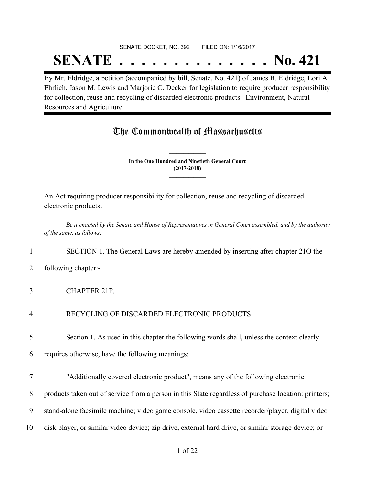## SENATE DOCKET, NO. 392 FILED ON: 1/16/2017 **SENATE . . . . . . . . . . . . . . No. 421**

By Mr. Eldridge, a petition (accompanied by bill, Senate, No. 421) of James B. Eldridge, Lori A. Ehrlich, Jason M. Lewis and Marjorie C. Decker for legislation to require producer responsibility for collection, reuse and recycling of discarded electronic products. Environment, Natural Resources and Agriculture.

## The Commonwealth of Massachusetts

**In the One Hundred and Ninetieth General Court (2017-2018) \_\_\_\_\_\_\_\_\_\_\_\_\_\_\_**

**\_\_\_\_\_\_\_\_\_\_\_\_\_\_\_**

An Act requiring producer responsibility for collection, reuse and recycling of discarded electronic products.

Be it enacted by the Senate and House of Representatives in General Court assembled, and by the authority *of the same, as follows:*

#### 1 SECTION 1. The General Laws are hereby amended by inserting after chapter 21O the

- 2 following chapter:-
- 3 CHAPTER 21P.
- 4 RECYCLING OF DISCARDED ELECTRONIC PRODUCTS.
- 5 Section 1. As used in this chapter the following words shall, unless the context clearly
- 6 requires otherwise, have the following meanings:
- 7 "Additionally covered electronic product", means any of the following electronic
- 8 products taken out of service from a person in this State regardless of purchase location: printers;
- 9 stand-alone facsimile machine; video game console, video cassette recorder/player, digital video
- 10 disk player, or similar video device; zip drive, external hard drive, or similar storage device; or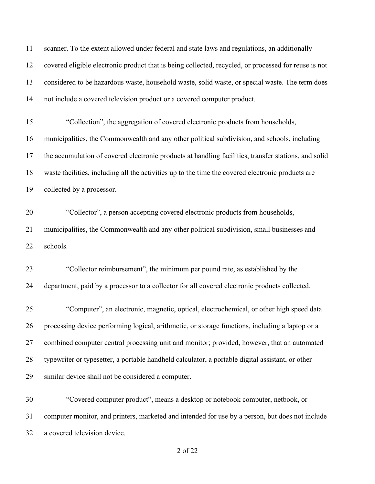scanner. To the extent allowed under federal and state laws and regulations, an additionally covered eligible electronic product that is being collected, recycled, or processed for reuse is not considered to be hazardous waste, household waste, solid waste, or special waste. The term does not include a covered television product or a covered computer product.

 "Collection", the aggregation of covered electronic products from households, municipalities, the Commonwealth and any other political subdivision, and schools, including the accumulation of covered electronic products at handling facilities, transfer stations, and solid waste facilities, including all the activities up to the time the covered electronic products are collected by a processor.

 "Collector", a person accepting covered electronic products from households, municipalities, the Commonwealth and any other political subdivision, small businesses and schools.

 "Collector reimbursement", the minimum per pound rate, as established by the department, paid by a processor to a collector for all covered electronic products collected.

 "Computer", an electronic, magnetic, optical, electrochemical, or other high speed data processing device performing logical, arithmetic, or storage functions, including a laptop or a combined computer central processing unit and monitor; provided, however, that an automated typewriter or typesetter, a portable handheld calculator, a portable digital assistant, or other similar device shall not be considered a computer.

 "Covered computer product", means a desktop or notebook computer, netbook, or computer monitor, and printers, marketed and intended for use by a person, but does not include a covered television device.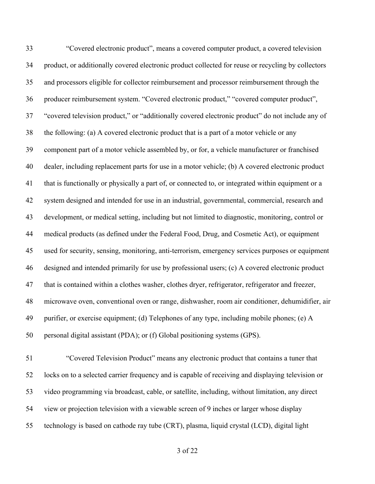"Covered electronic product", means a covered computer product, a covered television product, or additionally covered electronic product collected for reuse or recycling by collectors and processors eligible for collector reimbursement and processor reimbursement through the producer reimbursement system. "Covered electronic product," "covered computer product", "covered television product," or "additionally covered electronic product" do not include any of the following: (a) A covered electronic product that is a part of a motor vehicle or any component part of a motor vehicle assembled by, or for, a vehicle manufacturer or franchised dealer, including replacement parts for use in a motor vehicle; (b) A covered electronic product that is functionally or physically a part of, or connected to, or integrated within equipment or a system designed and intended for use in an industrial, governmental, commercial, research and development, or medical setting, including but not limited to diagnostic, monitoring, control or medical products (as defined under the Federal Food, Drug, and Cosmetic Act), or equipment used for security, sensing, monitoring, anti-terrorism, emergency services purposes or equipment designed and intended primarily for use by professional users; (c) A covered electronic product that is contained within a clothes washer, clothes dryer, refrigerator, refrigerator and freezer, microwave oven, conventional oven or range, dishwasher, room air conditioner, dehumidifier, air purifier, or exercise equipment; (d) Telephones of any type, including mobile phones; (e) A personal digital assistant (PDA); or (f) Global positioning systems (GPS).

 "Covered Television Product" means any electronic product that contains a tuner that locks on to a selected carrier frequency and is capable of receiving and displaying television or video programming via broadcast, cable, or satellite, including, without limitation, any direct view or projection television with a viewable screen of 9 inches or larger whose display technology is based on cathode ray tube (CRT), plasma, liquid crystal (LCD), digital light

of 22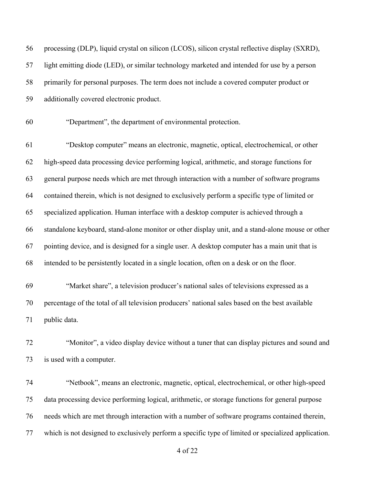| 56 | processing (DLP), liquid crystal on silicon (LCOS), silicon crystal reflective display (SXRD),   |
|----|--------------------------------------------------------------------------------------------------|
| 57 | light emitting diode (LED), or similar technology marketed and intended for use by a person      |
| 58 | primarily for personal purposes. The term does not include a covered computer product or         |
| 59 | additionally covered electronic product.                                                         |
| 60 | "Department", the department of environmental protection.                                        |
| 61 | "Desktop computer" means an electronic, magnetic, optical, electrochemical, or other             |
| 62 | high-speed data processing device performing logical, arithmetic, and storage functions for      |
| 63 | general purpose needs which are met through interaction with a number of software programs       |
| 64 | contained therein, which is not designed to exclusively perform a specific type of limited or    |
| 65 | specialized application. Human interface with a desktop computer is achieved through a           |
| 66 | standalone keyboard, stand-alone monitor or other display unit, and a stand-alone mouse or other |
| 67 | pointing device, and is designed for a single user. A desktop computer has a main unit that is   |
| 68 | intended to be persistently located in a single location, often on a desk or on the floor.       |
| 69 | "Market share", a television producer's national sales of televisions expressed as a             |
| 70 | percentage of the total of all television producers' national sales based on the best available  |
| 71 | public data.                                                                                     |
| 72 | "Monitor", a video display device without a tuner that can display pictures and sound and        |
| 73 | is used with a computer.                                                                         |
| 74 | "Netbook", means an electronic, magnetic, optical, electrochemical, or other high-speed          |
| 75 | data processing device performing logical, arithmetic, or storage functions for general purpose  |
| 76 | needs which are met through interaction with a number of software programs contained therein,    |

which is not designed to exclusively perform a specific type of limited or specialized application.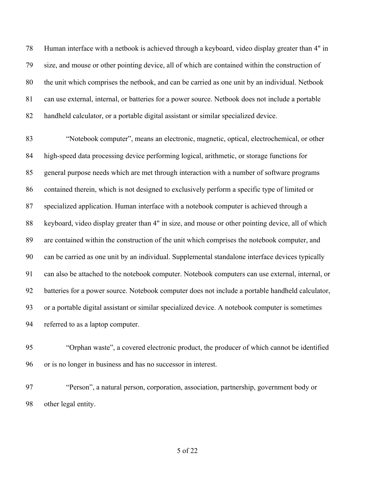Human interface with a netbook is achieved through a keyboard, video display greater than 4" in size, and mouse or other pointing device, all of which are contained within the construction of the unit which comprises the netbook, and can be carried as one unit by an individual. Netbook can use external, internal, or batteries for a power source. Netbook does not include a portable handheld calculator, or a portable digital assistant or similar specialized device.

 "Notebook computer", means an electronic, magnetic, optical, electrochemical, or other high-speed data processing device performing logical, arithmetic, or storage functions for general purpose needs which are met through interaction with a number of software programs contained therein, which is not designed to exclusively perform a specific type of limited or specialized application. Human interface with a notebook computer is achieved through a 88 keyboard, video display greater than 4" in size, and mouse or other pointing device, all of which are contained within the construction of the unit which comprises the notebook computer, and can be carried as one unit by an individual. Supplemental standalone interface devices typically can also be attached to the notebook computer. Notebook computers can use external, internal, or batteries for a power source. Notebook computer does not include a portable handheld calculator, or a portable digital assistant or similar specialized device. A notebook computer is sometimes referred to as a laptop computer.

- "Orphan waste", a covered electronic product, the producer of which cannot be identified or is no longer in business and has no successor in interest.
- "Person", a natural person, corporation, association, partnership, government body or other legal entity.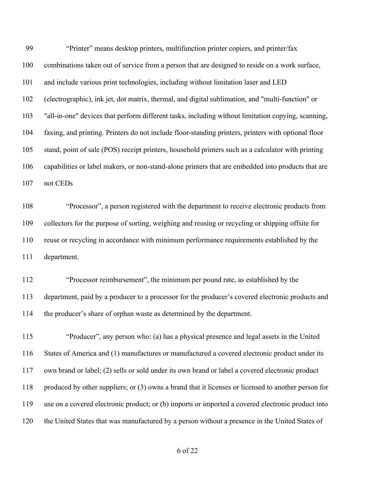"Printer" means desktop printers, multifunction printer copiers, and printer/fax combinations taken out of service from a person that are designed to reside on a work surface, and include various print technologies, including without limitation laser and LED (electrographic), ink jet, dot matrix, thermal, and digital sublimation, and "multi-function" or "all-in-one" devices that perform different tasks, including without limitation copying, scanning, faxing, and printing. Printers do not include floor-standing printers, printers with optional floor stand, point of sale (POS) receipt printers, household printers such as a calculator with printing capabilities or label makers, or non-stand-alone printers that are embedded into products that are not CEDs

 "Processor", a person registered with the department to receive electronic products from collectors for the purpose of sorting, weighing and reusing or recycling or shipping offsite for reuse or recycling in accordance with minimum performance requirements established by the department.

 "Processor reimbursement", the minimum per pound rate, as established by the department, paid by a producer to a processor for the producer's covered electronic products and the producer's share of orphan waste as determined by the department.

 "Producer", any person who: (a) has a physical presence and legal assets in the United States of America and (1) manufactures or manufactured a covered electronic product under its own brand or label; (2) sells or sold under its own brand or label a covered electronic product produced by other suppliers; or (3) owns a brand that it licenses or licensed to another person for use on a covered electronic product; or (b) imports or imported a covered electronic product into the United States that was manufactured by a person without a presence in the United States of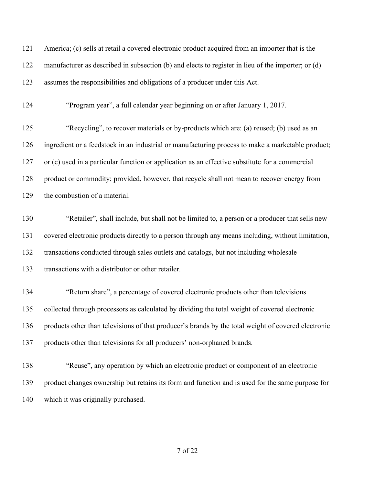| 121 | America; (c) sells at retail a covered electronic product acquired from an importer that is the     |
|-----|-----------------------------------------------------------------------------------------------------|
| 122 | manufacturer as described in subsection (b) and elects to register in lieu of the importer; or (d)  |
| 123 | assumes the responsibilities and obligations of a producer under this Act.                          |
| 124 | "Program year", a full calendar year beginning on or after January 1, 2017.                         |
| 125 | "Recycling", to recover materials or by-products which are: (a) reused; (b) used as an              |
| 126 | ingredient or a feedstock in an industrial or manufacturing process to make a marketable product;   |
| 127 | or (c) used in a particular function or application as an effective substitute for a commercial     |
| 128 | product or commodity; provided, however, that recycle shall not mean to recover energy from         |
| 129 | the combustion of a material.                                                                       |
| 130 | "Retailer", shall include, but shall not be limited to, a person or a producer that sells new       |
| 131 | covered electronic products directly to a person through any means including, without limitation,   |
| 132 | transactions conducted through sales outlets and catalogs, but not including wholesale              |
| 133 | transactions with a distributor or other retailer.                                                  |
| 134 | "Return share", a percentage of covered electronic products other than televisions                  |
| 135 | collected through processors as calculated by dividing the total weight of covered electronic       |
| 136 | products other than televisions of that producer's brands by the total weight of covered electronic |
| 137 | products other than televisions for all producers' non-orphaned brands.                             |
| 138 | "Reuse", any operation by which an electronic product or component of an electronic                 |
| 139 | product changes ownership but retains its form and function and is used for the same purpose for    |
| 140 | which it was originally purchased.                                                                  |
|     |                                                                                                     |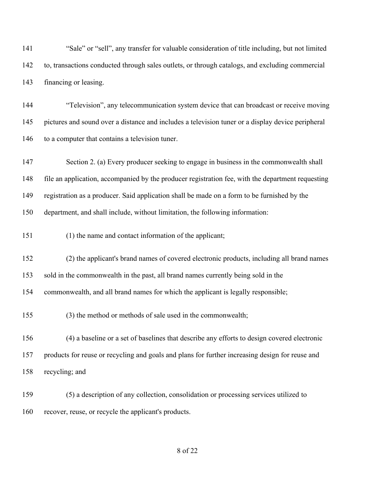"Sale" or "sell", any transfer for valuable consideration of title including, but not limited to, transactions conducted through sales outlets, or through catalogs, and excluding commercial financing or leasing.

 "Television", any telecommunication system device that can broadcast or receive moving pictures and sound over a distance and includes a television tuner or a display device peripheral 146 to a computer that contains a television tuner.

 Section 2. (a) Every producer seeking to engage in business in the commonwealth shall file an application, accompanied by the producer registration fee, with the department requesting registration as a producer. Said application shall be made on a form to be furnished by the department, and shall include, without limitation, the following information:

(1) the name and contact information of the applicant;

(2) the applicant's brand names of covered electronic products, including all brand names

sold in the commonwealth in the past, all brand names currently being sold in the

commonwealth, and all brand names for which the applicant is legally responsible;

(3) the method or methods of sale used in the commonwealth;

 (4) a baseline or a set of baselines that describe any efforts to design covered electronic products for reuse or recycling and goals and plans for further increasing design for reuse and recycling; and

 (5) a description of any collection, consolidation or processing services utilized to recover, reuse, or recycle the applicant's products.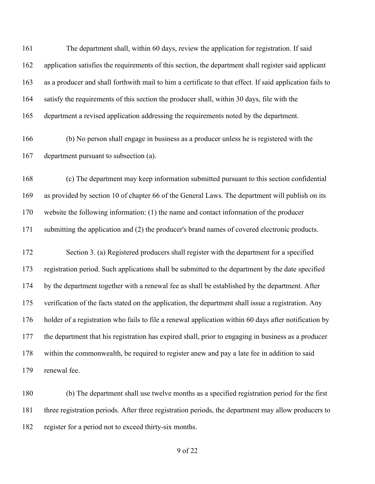The department shall, within 60 days, review the application for registration. If said application satisfies the requirements of this section, the department shall register said applicant as a producer and shall forthwith mail to him a certificate to that effect. If said application fails to 164 satisfy the requirements of this section the producer shall, within 30 days, file with the department a revised application addressing the requirements noted by the department.

 (b) No person shall engage in business as a producer unless he is registered with the department pursuant to subsection (a).

 (c) The department may keep information submitted pursuant to this section confidential as provided by section 10 of chapter 66 of the General Laws. The department will publish on its website the following information: (1) the name and contact information of the producer submitting the application and (2) the producer's brand names of covered electronic products.

 Section 3. (a) Registered producers shall register with the department for a specified registration period. Such applications shall be submitted to the department by the date specified by the department together with a renewal fee as shall be established by the department. After verification of the facts stated on the application, the department shall issue a registration. Any holder of a registration who fails to file a renewal application within 60 days after notification by the department that his registration has expired shall, prior to engaging in business as a producer within the commonwealth, be required to register anew and pay a late fee in addition to said renewal fee.

 (b) The department shall use twelve months as a specified registration period for the first three registration periods. After three registration periods, the department may allow producers to register for a period not to exceed thirty-six months.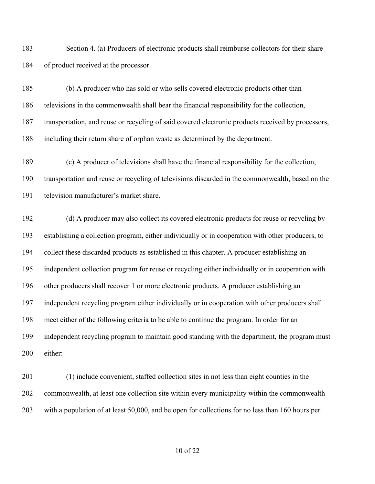Section 4. (a) Producers of electronic products shall reimburse collectors for their share of product received at the processor.

 (b) A producer who has sold or who sells covered electronic products other than televisions in the commonwealth shall bear the financial responsibility for the collection, transportation, and reuse or recycling of said covered electronic products received by processors, including their return share of orphan waste as determined by the department.

 (c) A producer of televisions shall have the financial responsibility for the collection, transportation and reuse or recycling of televisions discarded in the commonwealth, based on the television manufacturer's market share.

 (d) A producer may also collect its covered electronic products for reuse or recycling by establishing a collection program, either individually or in cooperation with other producers, to collect these discarded products as established in this chapter. A producer establishing an independent collection program for reuse or recycling either individually or in cooperation with other producers shall recover 1 or more electronic products. A producer establishing an independent recycling program either individually or in cooperation with other producers shall meet either of the following criteria to be able to continue the program. In order for an independent recycling program to maintain good standing with the department, the program must either:

 (1) include convenient, staffed collection sites in not less than eight counties in the commonwealth, at least one collection site within every municipality within the commonwealth with a population of at least 50,000, and be open for collections for no less than 160 hours per

of 22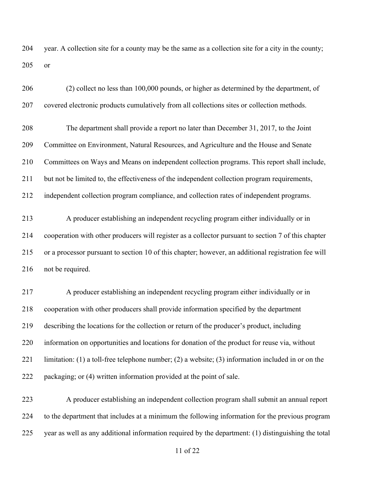year. A collection site for a county may be the same as a collection site for a city in the county; or

| 206 | (2) collect no less than 100,000 pounds, or higher as determined by the department, of              |
|-----|-----------------------------------------------------------------------------------------------------|
| 207 | covered electronic products cumulatively from all collections sites or collection methods.          |
| 208 | The department shall provide a report no later than December 31, 2017, to the Joint                 |
| 209 | Committee on Environment, Natural Resources, and Agriculture and the House and Senate               |
| 210 | Committees on Ways and Means on independent collection programs. This report shall include,         |
| 211 | but not be limited to, the effectiveness of the independent collection program requirements,        |
| 212 | independent collection program compliance, and collection rates of independent programs.            |
| 213 | A producer establishing an independent recycling program either individually or in                  |
| 214 | cooperation with other producers will register as a collector pursuant to section 7 of this chapter |
| 215 | or a processor pursuant to section 10 of this chapter; however, an additional registration fee will |
| 216 | not be required.                                                                                    |
| 217 | A producer establishing an independent recycling program either individually or in                  |
| 218 | cooperation with other producers shall provide information specified by the department              |
| 219 | describing the locations for the collection or return of the producer's product, including          |
| 220 | information on opportunities and locations for donation of the product for reuse via, without       |
| 221 | limitation: (1) a toll-free telephone number; (2) a website; (3) information included in or on the  |
| 222 | packaging; or (4) written information provided at the point of sale.                                |
| 223 | A producer establishing an independent collection program shall submit an annual report             |
| 224 | to the department that includes at a minimum the following information for the previous program     |
| 225 | year as well as any additional information required by the department: (1) distinguishing the total |

of 22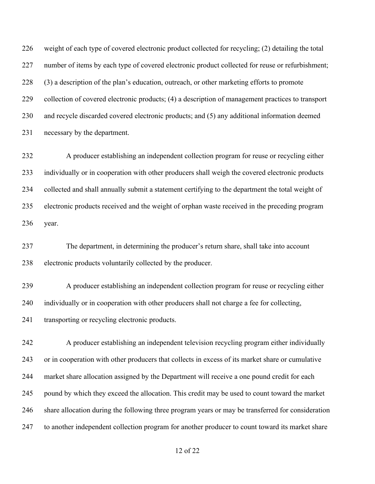weight of each type of covered electronic product collected for recycling; (2) detailing the total number of items by each type of covered electronic product collected for reuse or refurbishment; (3) a description of the plan's education, outreach, or other marketing efforts to promote collection of covered electronic products; (4) a description of management practices to transport and recycle discarded covered electronic products; and (5) any additional information deemed necessary by the department.

 A producer establishing an independent collection program for reuse or recycling either individually or in cooperation with other producers shall weigh the covered electronic products collected and shall annually submit a statement certifying to the department the total weight of electronic products received and the weight of orphan waste received in the preceding program year.

 The department, in determining the producer's return share, shall take into account electronic products voluntarily collected by the producer.

 A producer establishing an independent collection program for reuse or recycling either 240 individually or in cooperation with other producers shall not charge a fee for collecting, transporting or recycling electronic products.

 A producer establishing an independent television recycling program either individually or in cooperation with other producers that collects in excess of its market share or cumulative market share allocation assigned by the Department will receive a one pound credit for each pound by which they exceed the allocation. This credit may be used to count toward the market share allocation during the following three program years or may be transferred for consideration 247 to another independent collection program for another producer to count toward its market share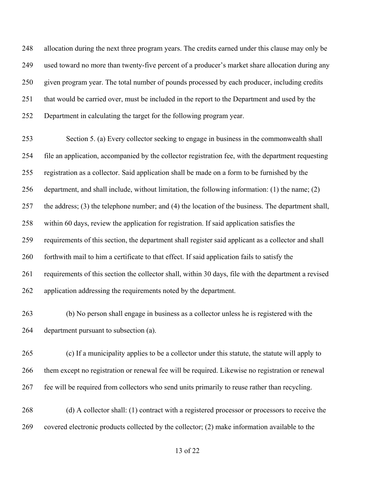allocation during the next three program years. The credits earned under this clause may only be used toward no more than twenty-five percent of a producer's market share allocation during any given program year. The total number of pounds processed by each producer, including credits that would be carried over, must be included in the report to the Department and used by the Department in calculating the target for the following program year.

 Section 5. (a) Every collector seeking to engage in business in the commonwealth shall file an application, accompanied by the collector registration fee, with the department requesting registration as a collector. Said application shall be made on a form to be furnished by the department, and shall include, without limitation, the following information: (1) the name; (2) the address; (3) the telephone number; and (4) the location of the business. The department shall, within 60 days, review the application for registration. If said application satisfies the requirements of this section, the department shall register said applicant as a collector and shall 260 forthwith mail to him a certificate to that effect. If said application fails to satisfy the requirements of this section the collector shall, within 30 days, file with the department a revised application addressing the requirements noted by the department.

 (b) No person shall engage in business as a collector unless he is registered with the department pursuant to subsection (a).

 (c) If a municipality applies to be a collector under this statute, the statute will apply to them except no registration or renewal fee will be required. Likewise no registration or renewal fee will be required from collectors who send units primarily to reuse rather than recycling.

 (d) A collector shall: (1) contract with a registered processor or processors to receive the covered electronic products collected by the collector; (2) make information available to the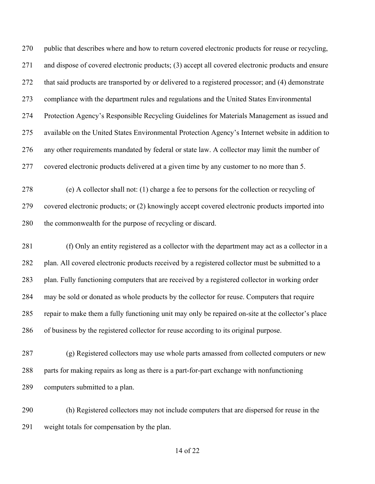public that describes where and how to return covered electronic products for reuse or recycling, and dispose of covered electronic products; (3) accept all covered electronic products and ensure that said products are transported by or delivered to a registered processor; and (4) demonstrate compliance with the department rules and regulations and the United States Environmental Protection Agency's Responsible Recycling Guidelines for Materials Management as issued and available on the United States Environmental Protection Agency's Internet website in addition to any other requirements mandated by federal or state law. A collector may limit the number of covered electronic products delivered at a given time by any customer to no more than 5.

 (e) A collector shall not: (1) charge a fee to persons for the collection or recycling of covered electronic products; or (2) knowingly accept covered electronic products imported into the commonwealth for the purpose of recycling or discard.

 (f) Only an entity registered as a collector with the department may act as a collector in a 282 plan. All covered electronic products received by a registered collector must be submitted to a plan. Fully functioning computers that are received by a registered collector in working order may be sold or donated as whole products by the collector for reuse. Computers that require repair to make them a fully functioning unit may only be repaired on-site at the collector's place of business by the registered collector for reuse according to its original purpose.

 (g) Registered collectors may use whole parts amassed from collected computers or new parts for making repairs as long as there is a part-for-part exchange with nonfunctioning computers submitted to a plan.

 (h) Registered collectors may not include computers that are dispersed for reuse in the weight totals for compensation by the plan.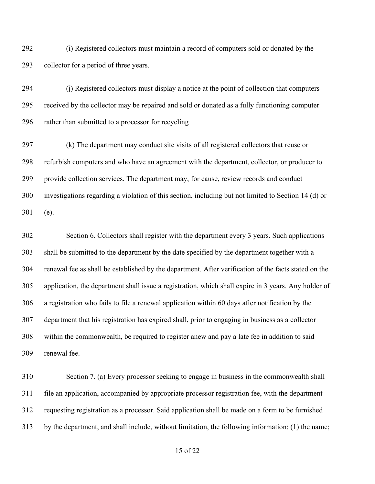(i) Registered collectors must maintain a record of computers sold or donated by the collector for a period of three years.

 (j) Registered collectors must display a notice at the point of collection that computers received by the collector may be repaired and sold or donated as a fully functioning computer rather than submitted to a processor for recycling

 (k) The department may conduct site visits of all registered collectors that reuse or refurbish computers and who have an agreement with the department, collector, or producer to provide collection services. The department may, for cause, review records and conduct investigations regarding a violation of this section, including but not limited to Section 14 (d) or (e).

 Section 6. Collectors shall register with the department every 3 years. Such applications shall be submitted to the department by the date specified by the department together with a renewal fee as shall be established by the department. After verification of the facts stated on the application, the department shall issue a registration, which shall expire in 3 years. Any holder of a registration who fails to file a renewal application within 60 days after notification by the department that his registration has expired shall, prior to engaging in business as a collector within the commonwealth, be required to register anew and pay a late fee in addition to said renewal fee.

 Section 7. (a) Every processor seeking to engage in business in the commonwealth shall file an application, accompanied by appropriate processor registration fee, with the department requesting registration as a processor. Said application shall be made on a form to be furnished by the department, and shall include, without limitation, the following information: (1) the name;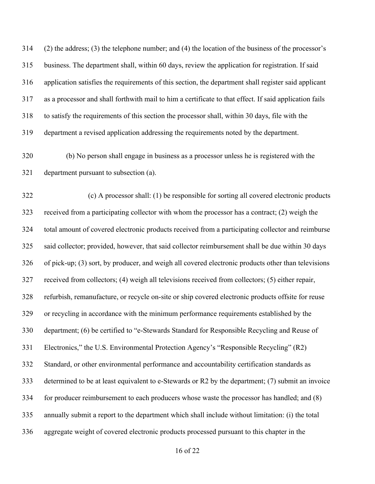(2) the address; (3) the telephone number; and (4) the location of the business of the processor's business. The department shall, within 60 days, review the application for registration. If said application satisfies the requirements of this section, the department shall register said applicant as a processor and shall forthwith mail to him a certificate to that effect. If said application fails to satisfy the requirements of this section the processor shall, within 30 days, file with the department a revised application addressing the requirements noted by the department.

 (b) No person shall engage in business as a processor unless he is registered with the department pursuant to subsection (a).

 (c) A processor shall: (1) be responsible for sorting all covered electronic products received from a participating collector with whom the processor has a contract; (2) weigh the total amount of covered electronic products received from a participating collector and reimburse said collector; provided, however, that said collector reimbursement shall be due within 30 days of pick-up; (3) sort, by producer, and weigh all covered electronic products other than televisions received from collectors; (4) weigh all televisions received from collectors; (5) either repair, refurbish, remanufacture, or recycle on-site or ship covered electronic products offsite for reuse or recycling in accordance with the minimum performance requirements established by the department; (6) be certified to "e-Stewards Standard for Responsible Recycling and Reuse of Electronics," the U.S. Environmental Protection Agency's "Responsible Recycling" (R2) Standard, or other environmental performance and accountability certification standards as determined to be at least equivalent to e-Stewards or R2 by the department; (7) submit an invoice for producer reimbursement to each producers whose waste the processor has handled; and (8) annually submit a report to the department which shall include without limitation: (i) the total aggregate weight of covered electronic products processed pursuant to this chapter in the

of 22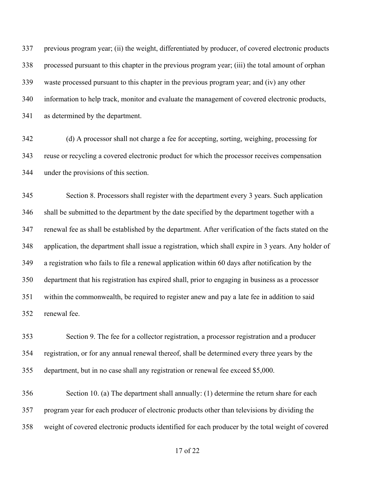previous program year; (ii) the weight, differentiated by producer, of covered electronic products processed pursuant to this chapter in the previous program year; (iii) the total amount of orphan waste processed pursuant to this chapter in the previous program year; and (iv) any other information to help track, monitor and evaluate the management of covered electronic products, as determined by the department.

 (d) A processor shall not charge a fee for accepting, sorting, weighing, processing for reuse or recycling a covered electronic product for which the processor receives compensation under the provisions of this section.

 Section 8. Processors shall register with the department every 3 years. Such application shall be submitted to the department by the date specified by the department together with a renewal fee as shall be established by the department. After verification of the facts stated on the application, the department shall issue a registration, which shall expire in 3 years. Any holder of a registration who fails to file a renewal application within 60 days after notification by the department that his registration has expired shall, prior to engaging in business as a processor within the commonwealth, be required to register anew and pay a late fee in addition to said renewal fee.

 Section 9. The fee for a collector registration, a processor registration and a producer registration, or for any annual renewal thereof, shall be determined every three years by the department, but in no case shall any registration or renewal fee exceed \$5,000.

 Section 10. (a) The department shall annually: (1) determine the return share for each program year for each producer of electronic products other than televisions by dividing the weight of covered electronic products identified for each producer by the total weight of covered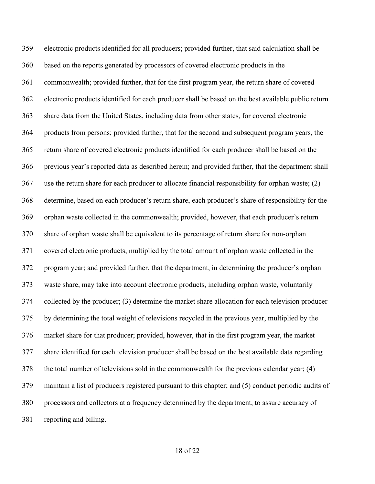electronic products identified for all producers; provided further, that said calculation shall be based on the reports generated by processors of covered electronic products in the commonwealth; provided further, that for the first program year, the return share of covered electronic products identified for each producer shall be based on the best available public return share data from the United States, including data from other states, for covered electronic products from persons; provided further, that for the second and subsequent program years, the return share of covered electronic products identified for each producer shall be based on the previous year's reported data as described herein; and provided further, that the department shall use the return share for each producer to allocate financial responsibility for orphan waste; (2) determine, based on each producer's return share, each producer's share of responsibility for the orphan waste collected in the commonwealth; provided, however, that each producer's return share of orphan waste shall be equivalent to its percentage of return share for non-orphan covered electronic products, multiplied by the total amount of orphan waste collected in the program year; and provided further, that the department, in determining the producer's orphan waste share, may take into account electronic products, including orphan waste, voluntarily collected by the producer; (3) determine the market share allocation for each television producer by determining the total weight of televisions recycled in the previous year, multiplied by the market share for that producer; provided, however, that in the first program year, the market share identified for each television producer shall be based on the best available data regarding the total number of televisions sold in the commonwealth for the previous calendar year; (4) maintain a list of producers registered pursuant to this chapter; and (5) conduct periodic audits of processors and collectors at a frequency determined by the department, to assure accuracy of reporting and billing.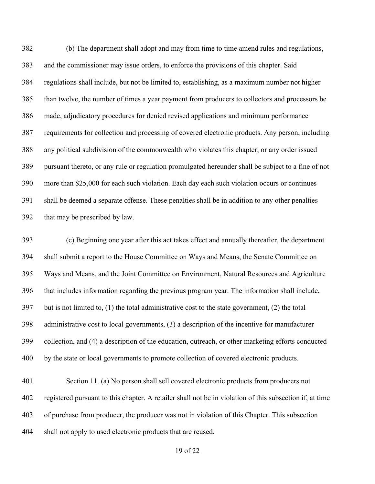(b) The department shall adopt and may from time to time amend rules and regulations, and the commissioner may issue orders, to enforce the provisions of this chapter. Said regulations shall include, but not be limited to, establishing, as a maximum number not higher than twelve, the number of times a year payment from producers to collectors and processors be made, adjudicatory procedures for denied revised applications and minimum performance requirements for collection and processing of covered electronic products. Any person, including any political subdivision of the commonwealth who violates this chapter, or any order issued pursuant thereto, or any rule or regulation promulgated hereunder shall be subject to a fine of not more than \$25,000 for each such violation. Each day each such violation occurs or continues shall be deemed a separate offense. These penalties shall be in addition to any other penalties that may be prescribed by law.

 (c) Beginning one year after this act takes effect and annually thereafter, the department shall submit a report to the House Committee on Ways and Means, the Senate Committee on Ways and Means, and the Joint Committee on Environment, Natural Resources and Agriculture that includes information regarding the previous program year. The information shall include, but is not limited to, (1) the total administrative cost to the state government, (2) the total administrative cost to local governments, (3) a description of the incentive for manufacturer collection, and (4) a description of the education, outreach, or other marketing efforts conducted by the state or local governments to promote collection of covered electronic products.

 Section 11. (a) No person shall sell covered electronic products from producers not registered pursuant to this chapter. A retailer shall not be in violation of this subsection if, at time of purchase from producer, the producer was not in violation of this Chapter. This subsection shall not apply to used electronic products that are reused.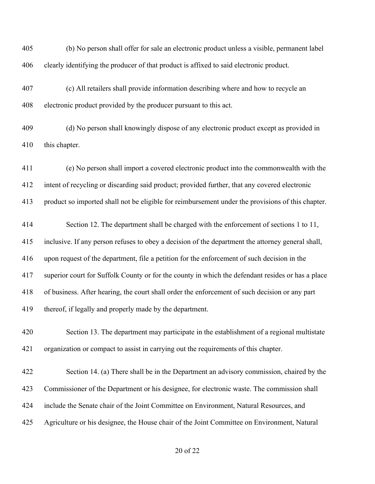(b) No person shall offer for sale an electronic product unless a visible, permanent label clearly identifying the producer of that product is affixed to said electronic product.

- (c) All retailers shall provide information describing where and how to recycle an electronic product provided by the producer pursuant to this act.
- (d) No person shall knowingly dispose of any electronic product except as provided in this chapter.

 (e) No person shall import a covered electronic product into the commonwealth with the intent of recycling or discarding said product; provided further, that any covered electronic product so imported shall not be eligible for reimbursement under the provisions of this chapter.

 Section 12. The department shall be charged with the enforcement of sections 1 to 11, inclusive. If any person refuses to obey a decision of the department the attorney general shall, upon request of the department, file a petition for the enforcement of such decision in the superior court for Suffolk County or for the county in which the defendant resides or has a place of business. After hearing, the court shall order the enforcement of such decision or any part thereof, if legally and properly made by the department.

 Section 13. The department may participate in the establishment of a regional multistate organization or compact to assist in carrying out the requirements of this chapter.

 Section 14. (a) There shall be in the Department an advisory commission, chaired by the Commissioner of the Department or his designee, for electronic waste. The commission shall include the Senate chair of the Joint Committee on Environment, Natural Resources, and Agriculture or his designee, the House chair of the Joint Committee on Environment, Natural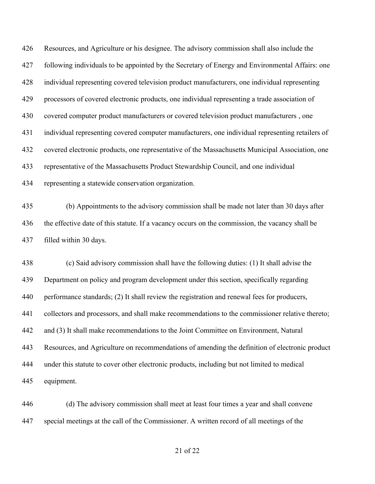Resources, and Agriculture or his designee. The advisory commission shall also include the following individuals to be appointed by the Secretary of Energy and Environmental Affairs: one individual representing covered television product manufacturers, one individual representing processors of covered electronic products, one individual representing a trade association of covered computer product manufacturers or covered television product manufacturers , one individual representing covered computer manufacturers, one individual representing retailers of covered electronic products, one representative of the Massachusetts Municipal Association, one representative of the Massachusetts Product Stewardship Council, and one individual representing a statewide conservation organization.

 (b) Appointments to the advisory commission shall be made not later than 30 days after the effective date of this statute. If a vacancy occurs on the commission, the vacancy shall be filled within 30 days.

 (c) Said advisory commission shall have the following duties: (1) It shall advise the Department on policy and program development under this section, specifically regarding performance standards; (2) It shall review the registration and renewal fees for producers, collectors and processors, and shall make recommendations to the commissioner relative thereto; and (3) It shall make recommendations to the Joint Committee on Environment, Natural Resources, and Agriculture on recommendations of amending the definition of electronic product under this statute to cover other electronic products, including but not limited to medical equipment.

 (d) The advisory commission shall meet at least four times a year and shall convene special meetings at the call of the Commissioner. A written record of all meetings of the